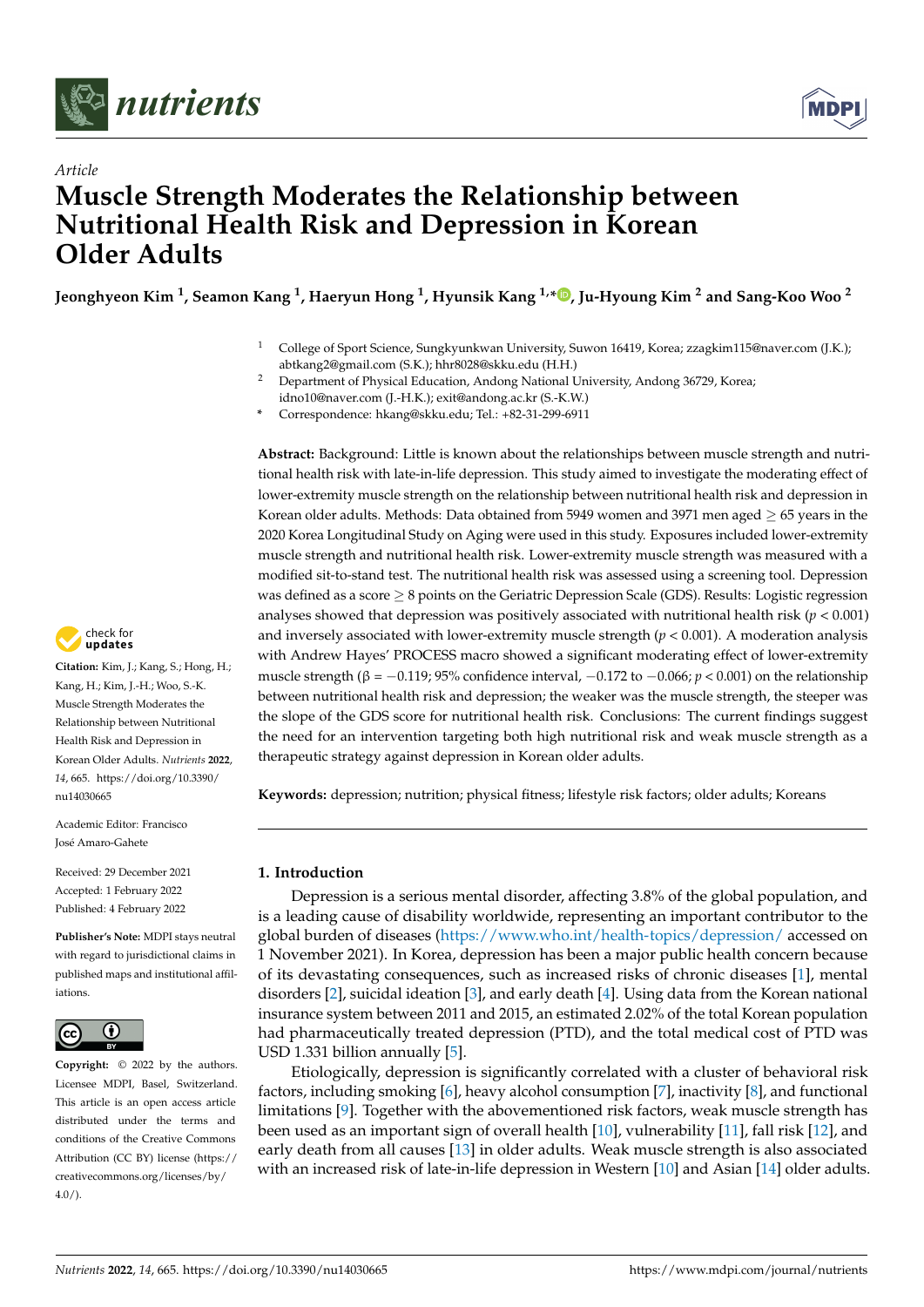



# *Article* **Muscle Strength Moderates the Relationship between Nutritional Health Risk and Depression in Korean Older Adults**

**Jeonghyeon Kim <sup>1</sup> , Seamon Kang <sup>1</sup> , Haeryun Hong <sup>1</sup> , Hyunsik Kang 1,\* [,](https://orcid.org/0000-0002-8611-1873) Ju-Hyoung Kim <sup>2</sup> and Sang-Koo Woo <sup>2</sup>**

- <sup>1</sup> College of Sport Science, Sungkyunkwan University, Suwon 16419, Korea; zzagkim115@naver.com (J.K.); abtkang2@gmail.com (S.K.); hhr8028@skku.edu (H.H.)
- <sup>2</sup> Department of Physical Education, Andong National University, Andong 36729, Korea; idno10@naver.com (J.-H.K.); exit@andong.ac.kr (S.-K.W.)
- **\*** Correspondence: hkang@skku.edu; Tel.: +82-31-299-6911

**Abstract:** Background: Little is known about the relationships between muscle strength and nutritional health risk with late-in-life depression. This study aimed to investigate the moderating effect of lower-extremity muscle strength on the relationship between nutritional health risk and depression in Korean older adults. Methods: Data obtained from 5949 women and 3971 men aged  $> 65$  years in the 2020 Korea Longitudinal Study on Aging were used in this study. Exposures included lower-extremity muscle strength and nutritional health risk. Lower-extremity muscle strength was measured with a modified sit-to-stand test. The nutritional health risk was assessed using a screening tool. Depression was defined as a score  $\geq 8$  points on the Geriatric Depression Scale (GDS). Results: Logistic regression analyses showed that depression was positively associated with nutritional health risk ( $p < 0.001$ ) and inversely associated with lower-extremity muscle strength  $(p < 0.001)$ . A moderation analysis with Andrew Hayes' PROCESS macro showed a significant moderating effect of lower-extremity muscle strength (β = −0.119; 95% confidence interval, −0.172 to −0.066; *p* < 0.001) on the relationship between nutritional health risk and depression; the weaker was the muscle strength, the steeper was the slope of the GDS score for nutritional health risk. Conclusions: The current findings suggest the need for an intervention targeting both high nutritional risk and weak muscle strength as a therapeutic strategy against depression in Korean older adults.

**Keywords:** depression; nutrition; physical fitness; lifestyle risk factors; older adults; Koreans

# **1. Introduction**

Depression is a serious mental disorder, affecting 3.8% of the global population, and is a leading cause of disability worldwide, representing an important contributor to the global burden of diseases [\(https://www.who.int/health-topics/depression/](https://www.who.int/health-topics/depression/) accessed on 1 November 2021). In Korea, depression has been a major public health concern because of its devastating consequences, such as increased risks of chronic diseases [\[1\]](#page-8-0), mental disorders [\[2\]](#page-8-1), suicidal ideation [\[3\]](#page-8-2), and early death [\[4\]](#page-8-3). Using data from the Korean national insurance system between 2011 and 2015, an estimated 2.02% of the total Korean population had pharmaceutically treated depression (PTD), and the total medical cost of PTD was USD 1.331 billion annually [\[5\]](#page-8-4).

Etiologically, depression is significantly correlated with a cluster of behavioral risk factors, including smoking [\[6\]](#page-8-5), heavy alcohol consumption [\[7\]](#page-8-6), inactivity [\[8\]](#page-8-7), and functional limitations [\[9\]](#page-8-8). Together with the abovementioned risk factors, weak muscle strength has been used as an important sign of overall health [\[10\]](#page-8-9), vulnerability [\[11\]](#page-8-10), fall risk [\[12\]](#page-8-11), and early death from all causes [\[13\]](#page-8-12) in older adults. Weak muscle strength is also associated with an increased risk of late-in-life depression in Western [\[10\]](#page-8-9) and Asian [\[14\]](#page-8-13) older adults.



**Citation:** Kim, J.; Kang, S.; Hong, H.; Kang, H.; Kim, J.-H.; Woo, S.-K. Muscle Strength Moderates the Relationship between Nutritional Health Risk and Depression in Korean Older Adults. *Nutrients* **2022**, *14*, 665. [https://doi.org/10.3390/](https://doi.org/10.3390/nu14030665) [nu14030665](https://doi.org/10.3390/nu14030665)

Academic Editor: Francisco José Amaro-Gahete

Received: 29 December 2021 Accepted: 1 February 2022 Published: 4 February 2022

**Publisher's Note:** MDPI stays neutral with regard to jurisdictional claims in published maps and institutional affiliations.



**Copyright:** © 2022 by the authors. Licensee MDPI, Basel, Switzerland. This article is an open access article distributed under the terms and conditions of the Creative Commons Attribution (CC BY) license [\(https://](https://creativecommons.org/licenses/by/4.0/) [creativecommons.org/licenses/by/](https://creativecommons.org/licenses/by/4.0/)  $4.0/$ ).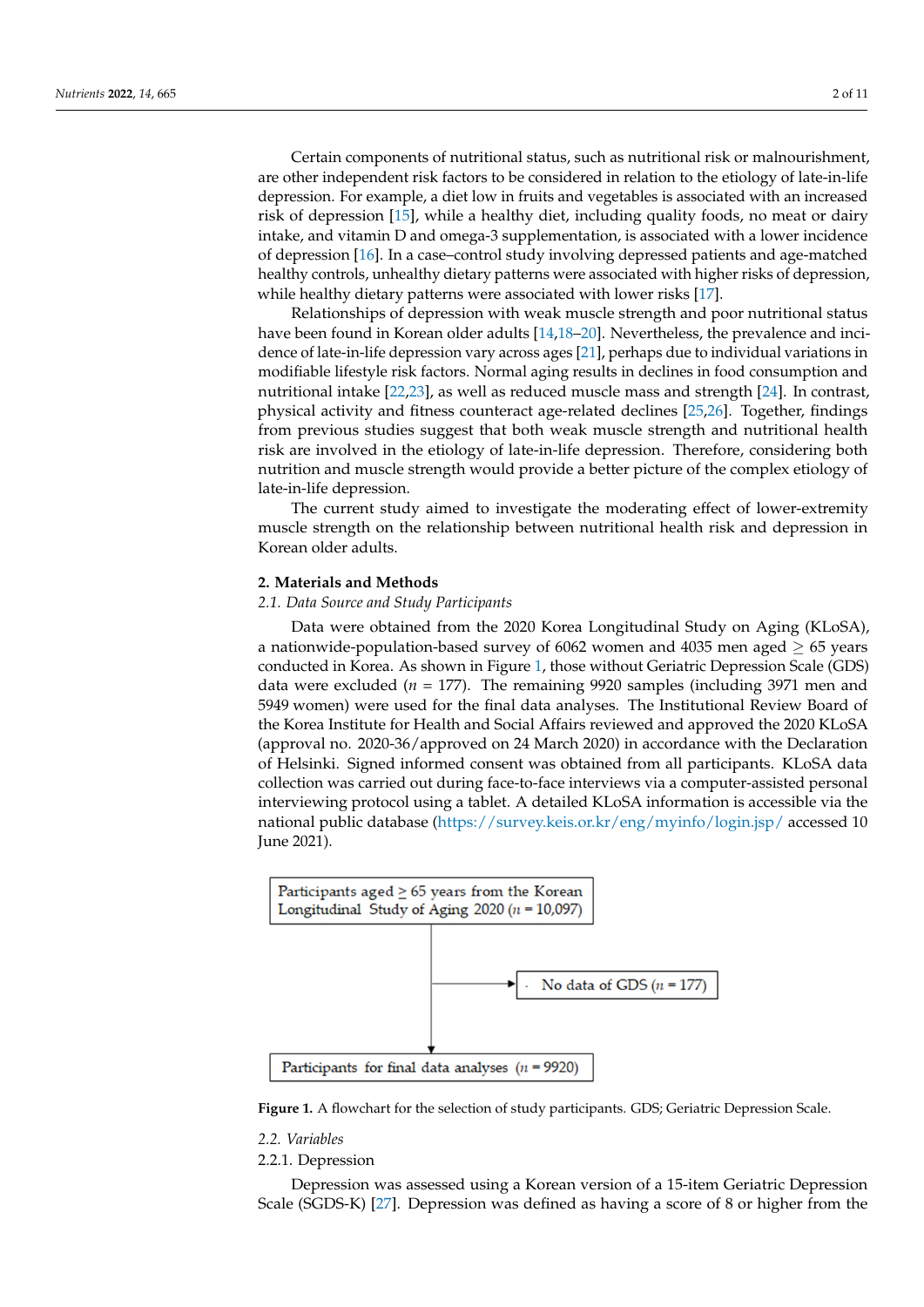Certain components of nutritional status, such as nutritional risk or malnourishment, Certain components of nutritional status, such as nutritional risk or malnourishment, are other independent risk factors to be considered in relation to the etiology of late-in-life<br> depression. For example, a diet low in fruits and vegetables is associated with an increased<br>side of depression [15], anhibe dependent is a health in-believe medity for depression to addition risk of depression [\[15\]](#page-8-14), while a healthy diet, including quality foods, no meat or dairy inction of depression [15], while a healthy diet, including quality foods, no meat or daily intake, and vitamin D and omega-3 supplementation, is associated with a lower incidence of depression [\[16\]](#page-8-15). In a case–control study involving depressed patients and age-matched of depression [16]. In a case–control study involving depressed patients and age indictional healthy controls, unhealthy dietary patterns were associated with higher risks of depression, healthy controls, unhealthy dietary patterns were associated with layer risks of appression,<br>while healthy dietary patterns were associated with lower risks [\[17\]](#page-8-16).  $d$  denotes and vitamin D and omega-3 supplementation, is associated with a lower interaction

risks relationships of depression with weak muscle strength and poor nutritional status Relationships of depression with weak muscle strength and poor nutritional status have been found in Korean older adults [\[14,](#page-8-13)[18](#page-8-17)[–20\]](#page-8-18). Nevertheless, the prevalence and inci-dence of late-in-life depression vary across ages [\[21\]](#page-8-19), perhaps due to individual variations in modifiable lifestyle risk factors. Normal aging results in declines in food consumption and nutritional intake [\[22,](#page-8-20)[23\]](#page-8-21), as well as reduced muscle mass and strength [\[24\]](#page-8-22). In contrast, physical activity and fitness counteract age-related declines  $[25,26]$  $[25,26]$ . Together, findings from previous studies suggest that both weak muscle strength and nutritional health risk are involved in the etiology of late-in-life depression. Therefore, considering both nutrition and muscle strength would provide a better picture of the complex etiology of late-in-life depression.

The current study aimed to investigate the moderating effect of lower-extremity muscle strength on the relationship between nutritional health risk and depression in Korean older adults. The relationship between nutritionship between  $\mathbb{R}$  and depression in Korean nutritionship between  $\mathbb{R}$  and dependent risk and departum in Korean nutrition in Korean nutrition in Korean nutriti

#### **2. Materials and Methods**

### **2.1. Data Source and Study Participants**

Data were obtained from the 2020 Korea Longitudinal Study on Aging (KLoSA), a nationwide-population-based survey of 6062 women and 4035 men aged  $\geq$  65 years conducted in Korea. As shown in Figure [1,](#page-1-0) those without Geriatric Depression Scale (GDS) data were excluded  $(n = 177)$ . The remaining 9920 samples (including 3971 men and 5949 women) were used for the final data analyses. The Institutional Review Board of the Korea Institute for Health and Social Affairs reviewed and approved the 2020 KLoSA (approval no. 2020-36/approved on 24 March 2020) in accordance with the Declaration of Helsinki. Signed informed consent was obtained from all participants. KLoSA data collection was carried out during face-to-face interviews via a computer-assisted personal<br>. interviewing protocol using a tablet. A detailed KLoSA information is accessible via the national public database [\(https://survey.keis.or.kr/eng/myinfo/login.jsp/](https://survey.keis.or.kr/eng/myinfo/login.jsp/) accessed 10<br>I June 2021).  $\sum_{i=1}^{n}$ 

<span id="page-1-0"></span>

**Figure 1.** A flowchart for the selection of study participants. GDS; Geriatric Depression Scale. **Figure 1.** A flowchart for the selection of study participants. GDS; Geriatric Depression Scale.

#### *2.2. Variables*

# 2.2.1. Depression

Depression was assessed using a Korean version of a 15-item Geriatric Depression Scale (SGDS-K) [\[27\]](#page-9-1). Depression was defined as having a score of 8 or higher from the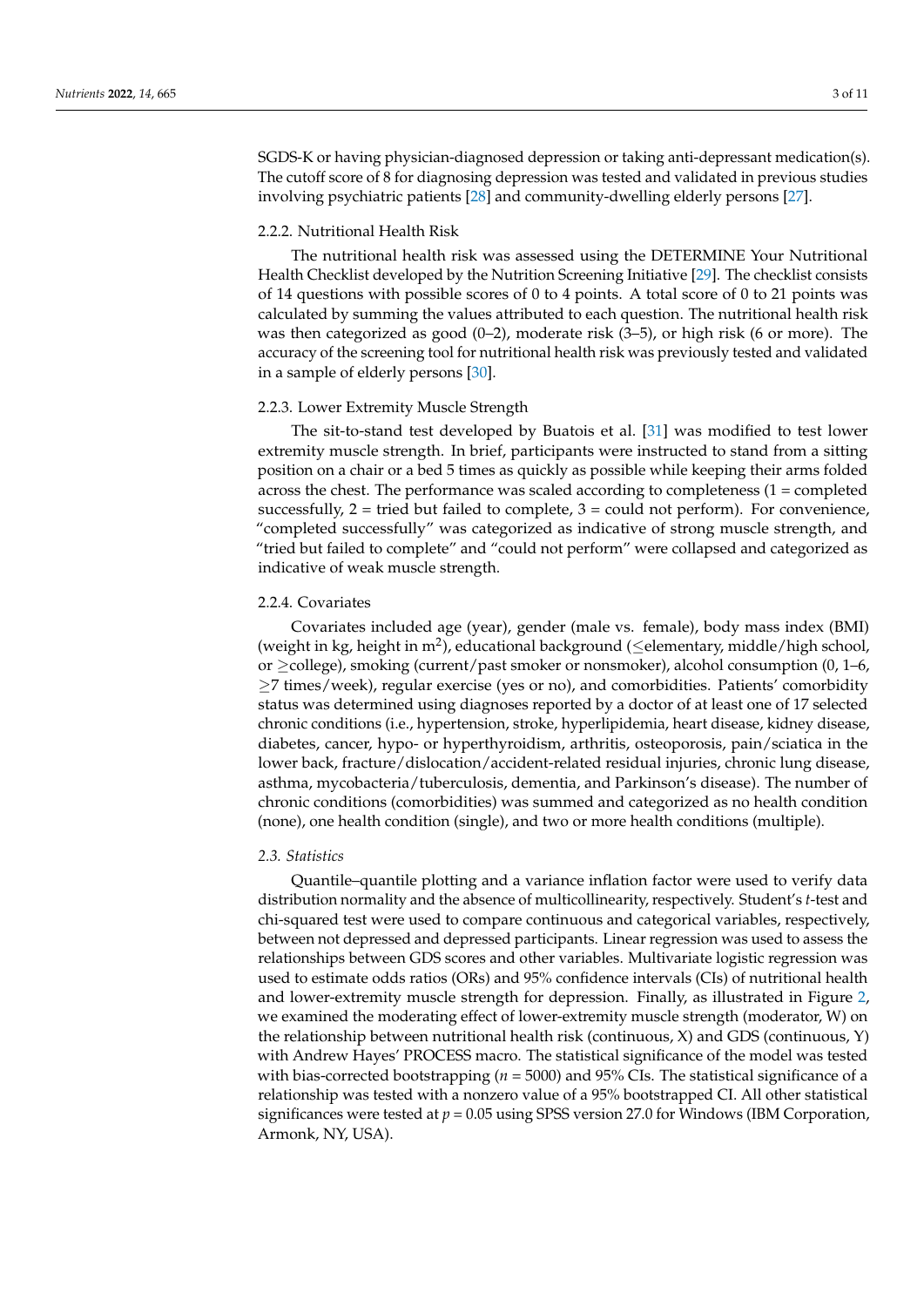SGDS-K or having physician-diagnosed depression or taking anti-depressant medication(s). The cutoff score of 8 for diagnosing depression was tested and validated in previous studies involving psychiatric patients [\[28\]](#page-9-2) and community-dwelling elderly persons [\[27\]](#page-9-1).

### 2.2.2. Nutritional Health Risk

The nutritional health risk was assessed using the DETERMINE Your Nutritional Health Checklist developed by the Nutrition Screening Initiative [\[29\]](#page-9-3). The checklist consists of 14 questions with possible scores of 0 to 4 points. A total score of 0 to 21 points was calculated by summing the values attributed to each question. The nutritional health risk was then categorized as good  $(0-2)$ , moderate risk  $(3-5)$ , or high risk  $(6 \text{ or more})$ . The accuracy of the screening tool for nutritional health risk was previously tested and validated in a sample of elderly persons [\[30\]](#page-9-4).

#### 2.2.3. Lower Extremity Muscle Strength

The sit-to-stand test developed by Buatois et al. [\[31\]](#page-9-5) was modified to test lower extremity muscle strength. In brief, participants were instructed to stand from a sitting position on a chair or a bed 5 times as quickly as possible while keeping their arms folded across the chest. The performance was scaled according to completeness (1 = completed successfully,  $2 =$  tried but failed to complete,  $3 =$  could not perform). For convenience, "completed successfully" was categorized as indicative of strong muscle strength, and "tried but failed to complete" and "could not perform" were collapsed and categorized as indicative of weak muscle strength.

#### 2.2.4. Covariates

Covariates included age (year), gender (male vs. female), body mass index (BMI) (weight in kg, height in m<sup>2</sup>), educational background ( $\leq$ elementary, middle/high school, or  $\geq$ college), smoking (current/past smoker or nonsmoker), alcohol consumption (0, 1–6, ≥7 times/week), regular exercise (yes or no), and comorbidities. Patients' comorbidity status was determined using diagnoses reported by a doctor of at least one of 17 selected chronic conditions (i.e., hypertension, stroke, hyperlipidemia, heart disease, kidney disease, diabetes, cancer, hypo- or hyperthyroidism, arthritis, osteoporosis, pain/sciatica in the lower back, fracture/dislocation/accident-related residual injuries, chronic lung disease, asthma, mycobacteria/tuberculosis, dementia, and Parkinson's disease). The number of chronic conditions (comorbidities) was summed and categorized as no health condition (none), one health condition (single), and two or more health conditions (multiple).

#### *2.3. Statistics*

Quantile–quantile plotting and a variance inflation factor were used to verify data distribution normality and the absence of multicollinearity, respectively. Student's *t*-test and chi-squared test were used to compare continuous and categorical variables, respectively, between not depressed and depressed participants. Linear regression was used to assess the relationships between GDS scores and other variables. Multivariate logistic regression was used to estimate odds ratios (ORs) and 95% confidence intervals (CIs) of nutritional health and lower-extremity muscle strength for depression. Finally, as illustrated in Figure [2,](#page-3-0) we examined the moderating effect of lower-extremity muscle strength (moderator, W) on the relationship between nutritional health risk (continuous, X) and GDS (continuous, Y) with Andrew Hayes' PROCESS macro. The statistical significance of the model was tested with bias-corrected bootstrapping (*n* = 5000) and 95% CIs. The statistical significance of a relationship was tested with a nonzero value of a 95% bootstrapped CI. All other statistical significances were tested at *p* = 0.05 using SPSS version 27.0 for Windows (IBM Corporation, Armonk, NY, USA).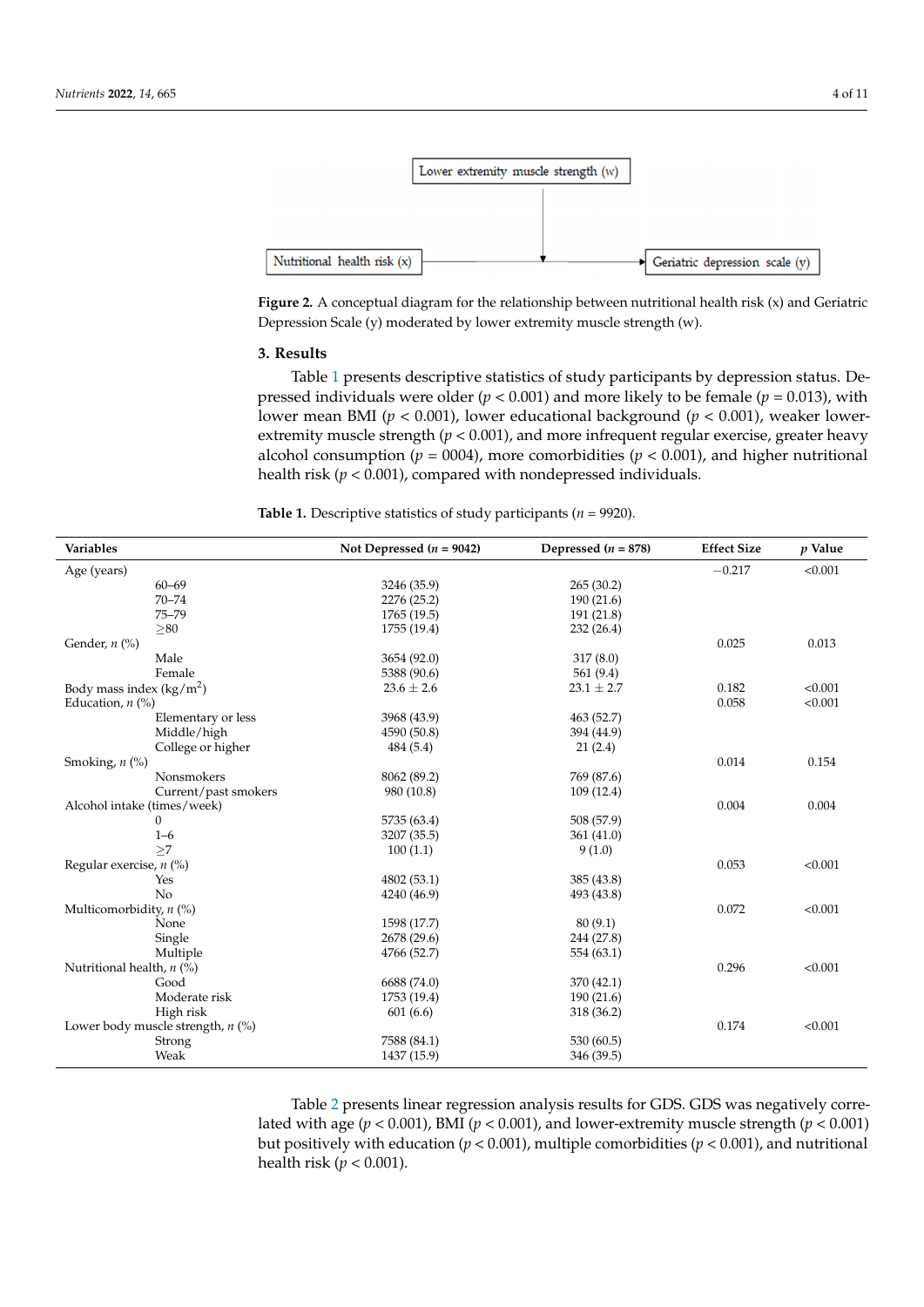<span id="page-3-0"></span>

**Figure 2.** A conceptual diagram for the relationship between nutritional health risk (x) and Geriatric **Figure 2.** A conceptual diagram for the relationship between nutritional health risk (x) and Geriatric Depression Scale (y) moderated by lower extremity muscle strength (w). Depression Scale (y) moderated by lower extremity muscle strength (w).

## **3. Results 3. Results**

Tabl[e 1](#page-3-1) presents descriptive statistics of study participants by depression status. De-Table 1 presents descriptive statistics of study participants by depression status. Depressed individuals were older (*p <* 0.001) and more likely to be female (*p* = 0.013), with pressed individuals were older (*p <* 0.001) and more likely to be female (*p* = 0.013), with lower mean BMI (*p* < 0.001), lower educational background (*p* < 0.001), weaker lowertremity muscle strength (*p <* 0.001), and more infrequent regular exercise, greater heavy extremity muscle strength (*p <* 0.001), and more infrequent regular exercise, greater heavy alcohol consumption (*p =* 0004), more comorbidities (*p <* 0.001), and higher nutritional alcohol consumption (*p =* 0004), more comorbidities (*p <* 0.001), and higher nutritional health risk (*p <* 0.001), compared with nondepressed individuals. health risk (*p <* 0.001), compared with nondepressed individuals.

<span id="page-3-1"></span>**Table 1.** Descriptive statistics of study participants (*n* = 9920). **Table 1.** Descriptive statistics of study participants (*n* = 9920).

| <b>Variables</b>                    | Not Depressed $(n = 9042)$ | Depressed $(n = 878)$ | <b>Effect Size</b> | $p$ Value |
|-------------------------------------|----------------------------|-----------------------|--------------------|-----------|
| Age (years)                         |                            |                       | $-0.217$           | < 0.001   |
| $60 - 69$                           | 3246 (35.9)                | 265(30.2)             |                    |           |
| $70 - 74$                           | 2276 (25.2)                | 190(21.6)             |                    |           |
| $75 - 79$                           | 1765 (19.5)                | 191 (21.8)            |                    |           |
| > 80                                | 1755 (19.4)                | 232(26.4)             |                    |           |
| Gender, $n$ (%)                     |                            |                       | 0.025              | 0.013     |
| Male                                | 3654 (92.0)                | 317(8.0)              |                    |           |
| Female                              | 5388 (90.6)                | 561(9.4)              |                    |           |
| Body mass index $(kg/m^2)$          | $23.6 \pm 2.6$             | $23.1 \pm 2.7$        | 0.182              | < 0.001   |
| Education, $n$ (%)                  |                            |                       | 0.058              | < 0.001   |
| Elementary or less                  | 3968 (43.9)                | 463 (52.7)            |                    |           |
| Middle/high                         | 4590 (50.8)                | 394 (44.9)            |                    |           |
| College or higher                   | 484 (5.4)                  | 21(2.4)               |                    |           |
| Smoking, $n$ $(\%)$                 |                            |                       | 0.014              | 0.154     |
| <b>Nonsmokers</b>                   | 8062 (89.2)                | 769 (87.6)            |                    |           |
| Current/past smokers                | 980 (10.8)                 | 109(12.4)             |                    |           |
| Alcohol intake (times/week)         |                            |                       | 0.004              | 0.004     |
| $\mathbf{0}$                        | 5735 (63.4)                | 508 (57.9)            |                    |           |
| $1 - 6$                             | 3207 (35.5)                | 361(41.0)             |                    |           |
| >7                                  | 100(1.1)                   | 9(1.0)                |                    |           |
| Regular exercise, $n$ (%)           |                            |                       | 0.053              | < 0.001   |
| Yes                                 | 4802 (53.1)                | 385 (43.8)            |                    |           |
| No                                  | 4240 (46.9)                | 493 (43.8)            |                    |           |
| Multicomorbidity, $n$ (%)           |                            |                       | 0.072              | < 0.001   |
| None                                | 1598 (17.7)                | 80(9.1)               |                    |           |
| Single                              | 2678 (29.6)                | 244 (27.8)            |                    |           |
| Multiple                            | 4766 (52.7)                | 554 (63.1)            |                    |           |
| Nutritional health, $n$ (%)         |                            |                       | 0.296              | < 0.001   |
| Good                                | 6688 (74.0)                | 370 (42.1)            |                    |           |
| Moderate risk                       | 1753 (19.4)                | 190(21.6)             |                    |           |
| High risk                           | 601(6.6)                   | 318 (36.2)            |                    |           |
| Lower body muscle strength, $n$ (%) |                            |                       | 0.174              | < 0.001   |
| Strong                              | 7588 (84.1)                | 530 (60.5)            |                    |           |
| Weak                                | 1437 (15.9)                | 346 (39.5)            |                    |           |

Nutritional health, *n* (%) 0.296 <0.001 Table [2](#page-4-0) presents linear regression analysis results for GDS. GDS was negatively correlated with age ( $p < 0.001$ ), BMI ( $p < 0.001$ ), and lower-extremity muscle strength ( $p < 0.001$ ) but positively with education ( $p < 0.001$ ), multiple comorbidities ( $p < 0.001$ ), and nutritional health risk  $(p < 0.001)$ .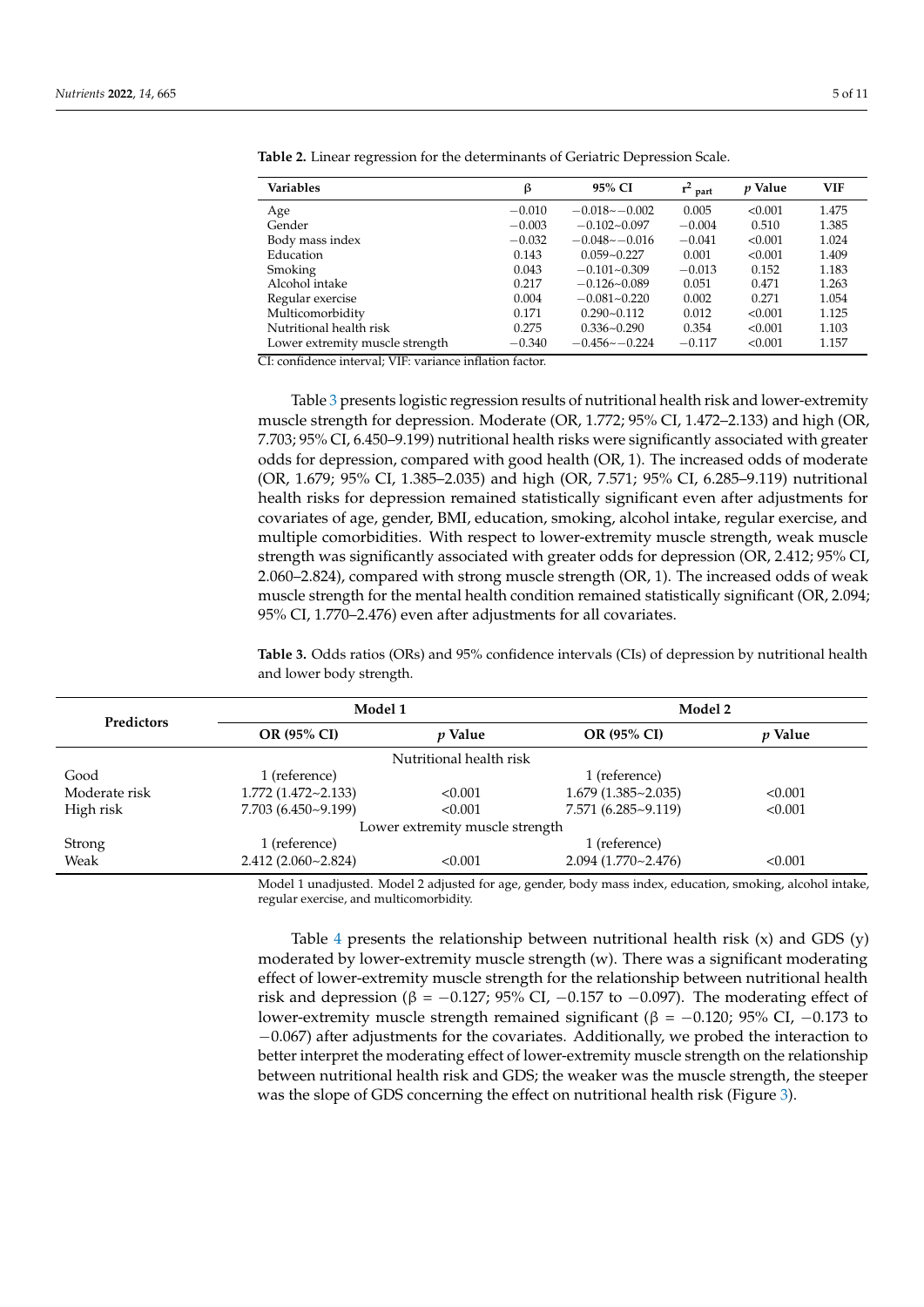| <b>Variables</b>                | β        | 95% CI           | $r^2$<br>part | <i>v</i> Value | <b>VIF</b> |
|---------------------------------|----------|------------------|---------------|----------------|------------|
| Age                             | $-0.010$ | $-0.018 - 0.002$ | 0.005         | < 0.001        | 1.475      |
| Gender                          | $-0.003$ | $-0.102 - 0.097$ | $-0.004$      | 0.510          | 1.385      |
| Body mass index                 | $-0.032$ | $-0.048 - 0.016$ | $-0.041$      | < 0.001        | 1.024      |
| Education                       | 0.143    | $0.059 - 0.227$  | 0.001         | < 0.001        | 1.409      |
| Smoking                         | 0.043    | $-0.101 - 0.309$ | $-0.013$      | 0.152          | 1.183      |
| Alcohol intake                  | 0.217    | $-0.126 - 0.089$ | 0.051         | 0.471          | 1.263      |
| Regular exercise                | 0.004    | $-0.081 - 0.220$ | 0.002         | 0.271          | 1.054      |
| Multicomorbidity                | 0.171    | $0.290 - 0.112$  | 0.012         | < 0.001        | 1.125      |
| Nutritional health risk         | 0.275    | $0.336 - 0.290$  | 0.354         | < 0.001        | 1.103      |
| Lower extremity muscle strength | $-0.340$ | $-0.456 - 0.224$ | $-0.117$      | < 0.001        | 1.157      |

<span id="page-4-0"></span>**Table 2.** Linear regression for the determinants of Geriatric Depression Scale.

CI: confidence interval; VIF: variance inflation factor.

Table [3](#page-4-1) presents logistic regression results of nutritional health risk and lower-extremity muscle strength for depression. Moderate (OR, 1.772; 95% CI, 1.472–2.133) and high (OR, 7.703; 95% CI, 6.450–9.199) nutritional health risks were significantly associated with greater odds for depression, compared with good health (OR, 1). The increased odds of moderate (OR, 1.679; 95% CI, 1.385–2.035) and high (OR, 7.571; 95% CI, 6.285–9.119) nutritional health risks for depression remained statistically significant even after adjustments for covariates of age, gender, BMI, education, smoking, alcohol intake, regular exercise, and multiple comorbidities. With respect to lower-extremity muscle strength, weak muscle strength was significantly associated with greater odds for depression (OR, 2.412; 95% CI, 2.060–2.824), compared with strong muscle strength (OR, 1). The increased odds of weak muscle strength for the mental health condition remained statistically significant (OR, 2.094; 95% CI, 1.770–2.476) even after adjustments for all covariates.

<span id="page-4-1"></span>**Table 3.** Odds ratios (ORs) and 95% confidence intervals (CIs) of depression by nutritional health and lower body strength.

| <b>Predictors</b>               | Model 1                   |                | Model 2                   |                |  |  |
|---------------------------------|---------------------------|----------------|---------------------------|----------------|--|--|
|                                 | OR (95% CI)               | <i>p</i> Value | OR (95% CI)               | <i>p</i> Value |  |  |
| Nutritional health risk         |                           |                |                           |                |  |  |
| Good                            | 1 (reference)             |                | 1 (reference)             |                |  |  |
| Moderate risk                   | $1.772(1.472 \sim 2.133)$ | < 0.001        | $1.679(1.385 \sim 2.035)$ | < 0.001        |  |  |
| High risk                       | 7.703 (6.450~9.199)       | < 0.001        | $7.571(6.285 \sim 9.119)$ | < 0.001        |  |  |
| Lower extremity muscle strength |                           |                |                           |                |  |  |
| Strong                          | 1 (reference)             |                | 1 (reference)             |                |  |  |
| Weak                            | 2.412(2.060~2.824)        | < 0.001        | $2.094(1.770-2.476)$      | < 0.001        |  |  |

Model 1 unadjusted. Model 2 adjusted for age, gender, body mass index, education, smoking, alcohol intake, regular exercise, and multicomorbidity.

Table [4](#page-5-0) presents the relationship between nutritional health risk  $(x)$  and GDS  $(y)$ moderated by lower-extremity muscle strength (w). There was a significant moderating effect of lower-extremity muscle strength for the relationship between nutritional health risk and depression ( $\beta$  = −0.127; 95% CI, −0.157 to −0.097). The moderating effect of lower-extremity muscle strength remained significant ( $\beta = -0.120$ ; 95% CI, -0.173 to −0.067) after adjustments for the covariates. Additionally, we probed the interaction to better interpret the moderating effect of lower-extremity muscle strength on the relationship between nutritional health risk and GDS; the weaker was the muscle strength, the steeper was the slope of GDS concerning the effect on nutritional health risk (Figure [3\)](#page-5-1).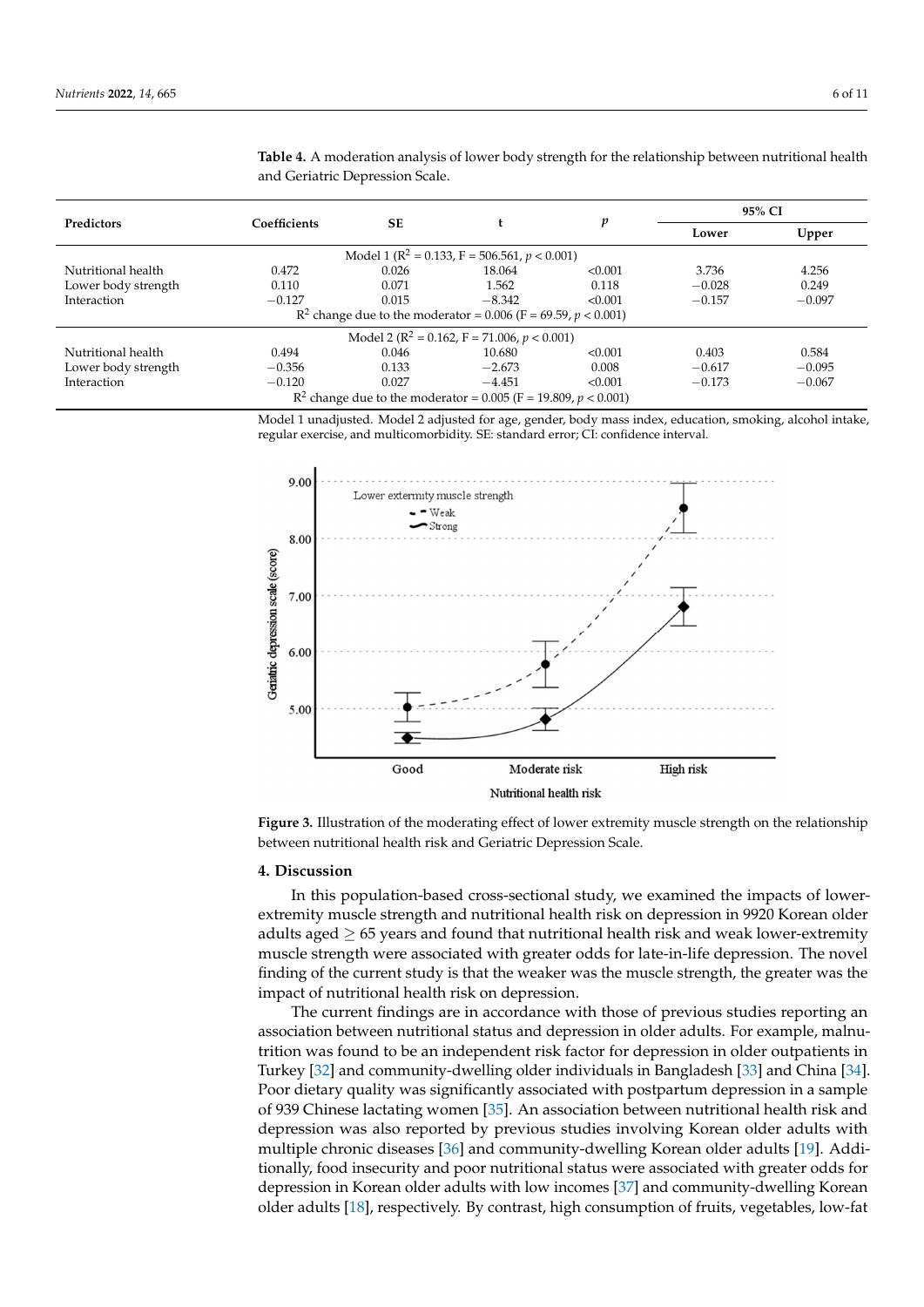| <b>Predictors</b>   | Coefficients |       |                                                                     | p       | 95% CI   |          |
|---------------------|--------------|-------|---------------------------------------------------------------------|---------|----------|----------|
|                     |              | SE    |                                                                     |         | Lower    | Upper    |
|                     |              |       | Model 1 ( $R^2 = 0.133$ , F = 506.561, p < 0.001)                   |         |          |          |
| Nutritional health  | 0.472        | 0.026 | 18.064                                                              | < 0.001 | 3.736    | 4.256    |
| Lower body strength | 0.110        | 0.071 | 1.562                                                               | 0.118   | $-0.028$ | 0.249    |
| Interaction         | $-0.127$     | 0.015 | $-8.342$                                                            | < 0.001 | $-0.157$ | $-0.097$ |
|                     |              |       | $R^2$ change due to the moderator = 0.006 (F = 69.59, $p < 0.001$ ) |         |          |          |
|                     |              |       | Model 2 ( $\mathbb{R}^2$ = 0.162, F = 71.006, p < 0.001)            |         |          |          |
| Nutritional health  | 0.494        | 0.046 | 10.680                                                              | < 0.001 | 0.403    | 0.584    |
| Lower body strength | $-0.356$     | 0.133 | $-2.673$                                                            | 0.008   | $-0.617$ | $-0.095$ |
| Interaction         | $-0.120$     | 0.027 | $-4.451$                                                            | < 0.001 | $-0.173$ | $-0.067$ |
|                     |              |       | $R^2$ change due to the moderator = 0.005 (F = 19.809, p < 0.001)   |         |          |          |

slope of GDS concerning the effect on nutritional health risk (Figure 3).

<span id="page-5-0"></span>**Table 4.** A moderation analysis of lower body strength for the relationship between nutritional health and Geriatric Depression Scale.

Model 1 unadjusted. Model 2 adjusted for age, gender, body mass index, education, smoking, alcohol intake, regular exercise, and multicomorbidity. SE: standard error; CI: confidence interval.

<span id="page-5-1"></span>

**Figure 3.** Illustration of the moderating effect of lower extremity muscle strength on the relationship **Figure 3.** Illustration of the moderating effect of lower extremity muscle strength on the relationship between nutritional health risk and Geriatric Depression Scale. between nutritional health risk and Geriatric Depression Scale.

# **4. Discussion 4. Discussion**

extremity muscle strength and nutritional health risk on depression in 9920 Korean older extremity muscle strength and nutritional health risk on depression in 9920 Korean older adults aged ≥ 65 years and found that nutritional health risk and weak lower-extremity muscle strength were associated with greater odds for late-in-life depression. The novel finding of the current study is that the weaker was the muscle strength, the greater was the impact of nutritional health risk on depression. In this population-based cross-sectional study, we examined the impacts of lower-

 $\overline{\phantom{a}}$  The current findings are in accordance with those of previous studies reporting an association between nutritional status and depression in older adults. For example, malnutrition was found to be an independent risk factor for depression in older outpatients in Turkey [\[32\]](#page-9-6) and community-dwelling older individuals in Bangladesh [\[33\]](#page-9-7) and China [\[34\]](#page-9-8). Poor dietary quality was significantly associated with postpartum depression in a sample of 939 Chinese lactating women [\[35\]](#page-9-9). An association between nutritional health risk and depression was also reported by previous studies involving Korean older adults with multiple chronic diseases [\[36\]](#page-9-10) and community-dwelling Korean older adults [\[19\]](#page-8-24). Additionally, food insecurity and poor nutritional status were associated with greater odds for depression in Korean older adults with low incomes [\[37\]](#page-9-11) and community-dwelling Korean older adults [\[18\]](#page-8-17), respectively. By contrast, high consumption of fruits, vegetables, low-fat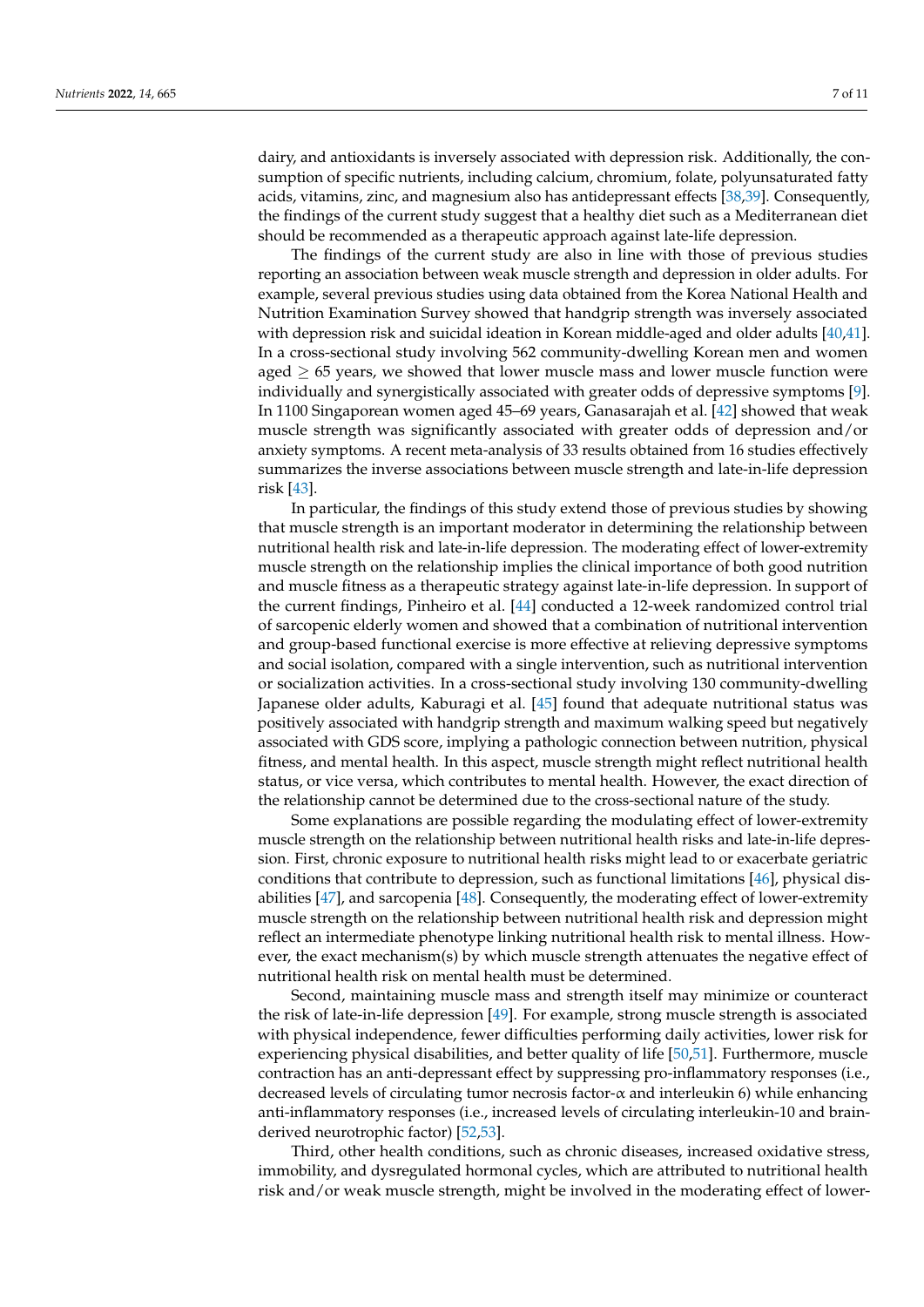dairy, and antioxidants is inversely associated with depression risk. Additionally, the consumption of specific nutrients, including calcium, chromium, folate, polyunsaturated fatty acids, vitamins, zinc, and magnesium also has antidepressant effects [\[38](#page-9-12)[,39\]](#page-9-13). Consequently, the findings of the current study suggest that a healthy diet such as a Mediterranean diet should be recommended as a therapeutic approach against late-life depression.

The findings of the current study are also in line with those of previous studies reporting an association between weak muscle strength and depression in older adults. For example, several previous studies using data obtained from the Korea National Health and Nutrition Examination Survey showed that handgrip strength was inversely associated with depression risk and suicidal ideation in Korean middle-aged and older adults [\[40](#page-9-14)[,41\]](#page-9-15). In a cross-sectional study involving 562 community-dwelling Korean men and women aged  $\geq$  65 years, we showed that lower muscle mass and lower muscle function were individually and synergistically associated with greater odds of depressive symptoms [\[9\]](#page-8-8). In 1100 Singaporean women aged 45–69 years, Ganasarajah et al. [\[42\]](#page-9-16) showed that weak muscle strength was significantly associated with greater odds of depression and/or anxiety symptoms. A recent meta-analysis of 33 results obtained from 16 studies effectively summarizes the inverse associations between muscle strength and late-in-life depression risk [\[43\]](#page-9-17).

In particular, the findings of this study extend those of previous studies by showing that muscle strength is an important moderator in determining the relationship between nutritional health risk and late-in-life depression. The moderating effect of lower-extremity muscle strength on the relationship implies the clinical importance of both good nutrition and muscle fitness as a therapeutic strategy against late-in-life depression. In support of the current findings, Pinheiro et al. [\[44\]](#page-9-18) conducted a 12-week randomized control trial of sarcopenic elderly women and showed that a combination of nutritional intervention and group-based functional exercise is more effective at relieving depressive symptoms and social isolation, compared with a single intervention, such as nutritional intervention or socialization activities. In a cross-sectional study involving 130 community-dwelling Japanese older adults, Kaburagi et al. [\[45\]](#page-9-19) found that adequate nutritional status was positively associated with handgrip strength and maximum walking speed but negatively associated with GDS score, implying a pathologic connection between nutrition, physical fitness, and mental health. In this aspect, muscle strength might reflect nutritional health status, or vice versa, which contributes to mental health. However, the exact direction of the relationship cannot be determined due to the cross-sectional nature of the study.

Some explanations are possible regarding the modulating effect of lower-extremity muscle strength on the relationship between nutritional health risks and late-in-life depression. First, chronic exposure to nutritional health risks might lead to or exacerbate geriatric conditions that contribute to depression, such as functional limitations [\[46\]](#page-9-20), physical disabilities [\[47\]](#page-9-21), and sarcopenia [\[48\]](#page-9-22). Consequently, the moderating effect of lower-extremity muscle strength on the relationship between nutritional health risk and depression might reflect an intermediate phenotype linking nutritional health risk to mental illness. However, the exact mechanism(s) by which muscle strength attenuates the negative effect of nutritional health risk on mental health must be determined.

Second, maintaining muscle mass and strength itself may minimize or counteract the risk of late-in-life depression [\[49\]](#page-9-23). For example, strong muscle strength is associated with physical independence, fewer difficulties performing daily activities, lower risk for experiencing physical disabilities, and better quality of life [\[50](#page-9-24)[,51\]](#page-9-25). Furthermore, muscle contraction has an anti-depressant effect by suppressing pro-inflammatory responses (i.e., decreased levels of circulating tumor necrosis factor- $\alpha$  and interleukin 6) while enhancing anti-inflammatory responses (i.e., increased levels of circulating interleukin-10 and brainderived neurotrophic factor) [\[52](#page-10-0)[,53\]](#page-10-1).

Third, other health conditions, such as chronic diseases, increased oxidative stress, immobility, and dysregulated hormonal cycles, which are attributed to nutritional health risk and/or weak muscle strength, might be involved in the moderating effect of lower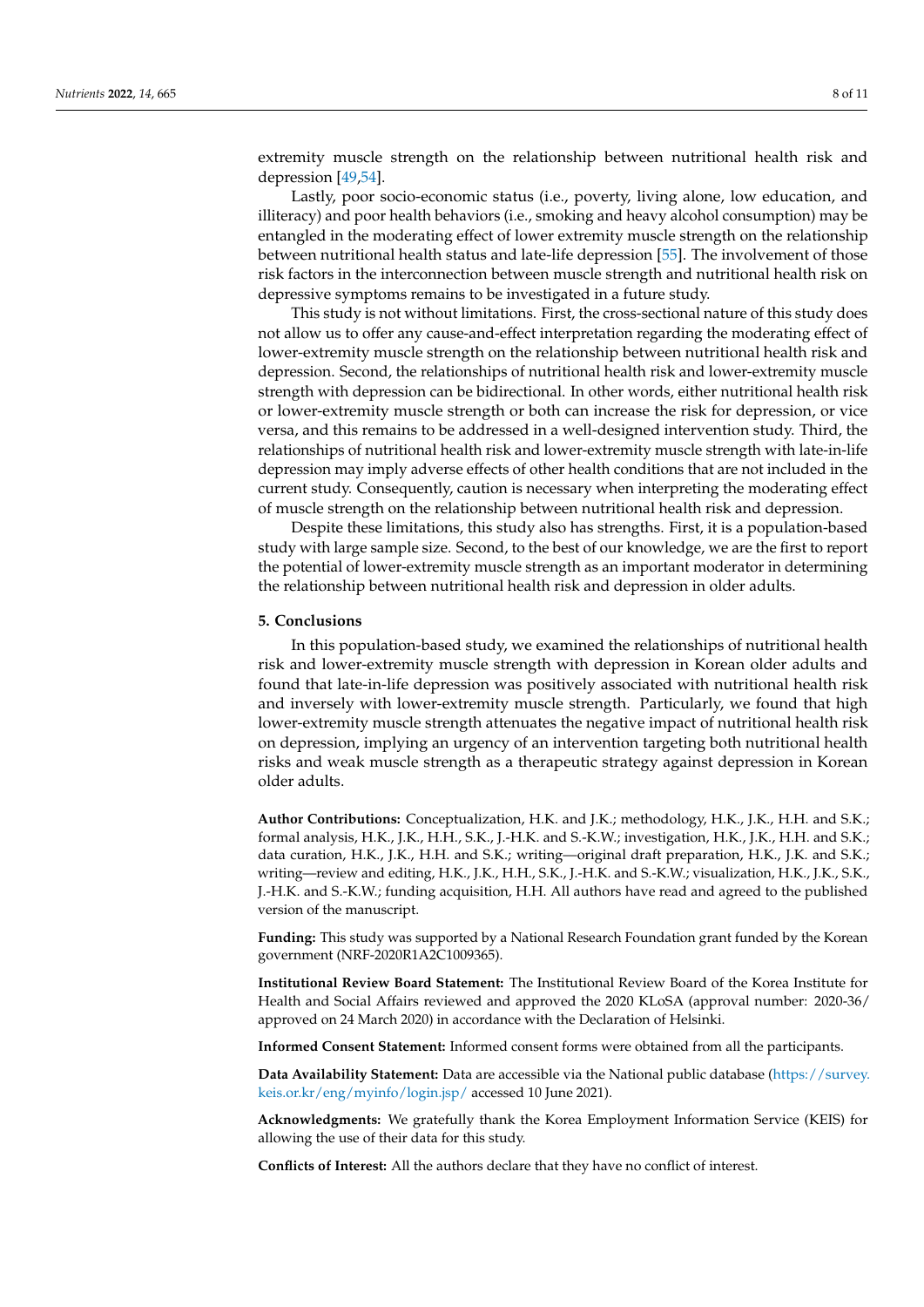extremity muscle strength on the relationship between nutritional health risk and depression [\[49,](#page-9-23)[54\]](#page-10-2).

Lastly, poor socio-economic status (i.e., poverty, living alone, low education, and illiteracy) and poor health behaviors (i.e., smoking and heavy alcohol consumption) may be entangled in the moderating effect of lower extremity muscle strength on the relationship between nutritional health status and late-life depression [\[55\]](#page-10-3). The involvement of those risk factors in the interconnection between muscle strength and nutritional health risk on depressive symptoms remains to be investigated in a future study.

This study is not without limitations. First, the cross-sectional nature of this study does not allow us to offer any cause-and-effect interpretation regarding the moderating effect of lower-extremity muscle strength on the relationship between nutritional health risk and depression. Second, the relationships of nutritional health risk and lower-extremity muscle strength with depression can be bidirectional. In other words, either nutritional health risk or lower-extremity muscle strength or both can increase the risk for depression, or vice versa, and this remains to be addressed in a well-designed intervention study. Third, the relationships of nutritional health risk and lower-extremity muscle strength with late-in-life depression may imply adverse effects of other health conditions that are not included in the current study. Consequently, caution is necessary when interpreting the moderating effect of muscle strength on the relationship between nutritional health risk and depression.

Despite these limitations, this study also has strengths. First, it is a population-based study with large sample size. Second, to the best of our knowledge, we are the first to report the potential of lower-extremity muscle strength as an important moderator in determining the relationship between nutritional health risk and depression in older adults.

#### **5. Conclusions**

In this population-based study, we examined the relationships of nutritional health risk and lower-extremity muscle strength with depression in Korean older adults and found that late-in-life depression was positively associated with nutritional health risk and inversely with lower-extremity muscle strength. Particularly, we found that high lower-extremity muscle strength attenuates the negative impact of nutritional health risk on depression, implying an urgency of an intervention targeting both nutritional health risks and weak muscle strength as a therapeutic strategy against depression in Korean older adults.

**Author Contributions:** Conceptualization, H.K. and J.K.; methodology, H.K., J.K., H.H. and S.K.; formal analysis, H.K., J.K., H.H., S.K., J.-H.K. and S.-K.W.; investigation, H.K., J.K., H.H. and S.K.; data curation, H.K., J.K., H.H. and S.K.; writing—original draft preparation, H.K., J.K. and S.K.; writing—review and editing, H.K., J.K., H.H., S.K., J.-H.K. and S.-K.W.; visualization, H.K., J.K., S.K., J.-H.K. and S.-K.W.; funding acquisition, H.H. All authors have read and agreed to the published version of the manuscript.

**Funding:** This study was supported by a National Research Foundation grant funded by the Korean government (NRF-2020R1A2C1009365).

**Institutional Review Board Statement:** The Institutional Review Board of the Korea Institute for Health and Social Affairs reviewed and approved the 2020 KLoSA (approval number: 2020-36/ approved on 24 March 2020) in accordance with the Declaration of Helsinki.

**Informed Consent Statement:** Informed consent forms were obtained from all the participants.

**Data Availability Statement:** Data are accessible via the National public database [\(https://survey.](https://survey.keis.or.kr/eng/myinfo/login.jsp/) [keis.or.kr/eng/myinfo/login.jsp/](https://survey.keis.or.kr/eng/myinfo/login.jsp/) accessed 10 June 2021).

**Acknowledgments:** We gratefully thank the Korea Employment Information Service (KEIS) for allowing the use of their data for this study.

**Conflicts of Interest:** All the authors declare that they have no conflict of interest.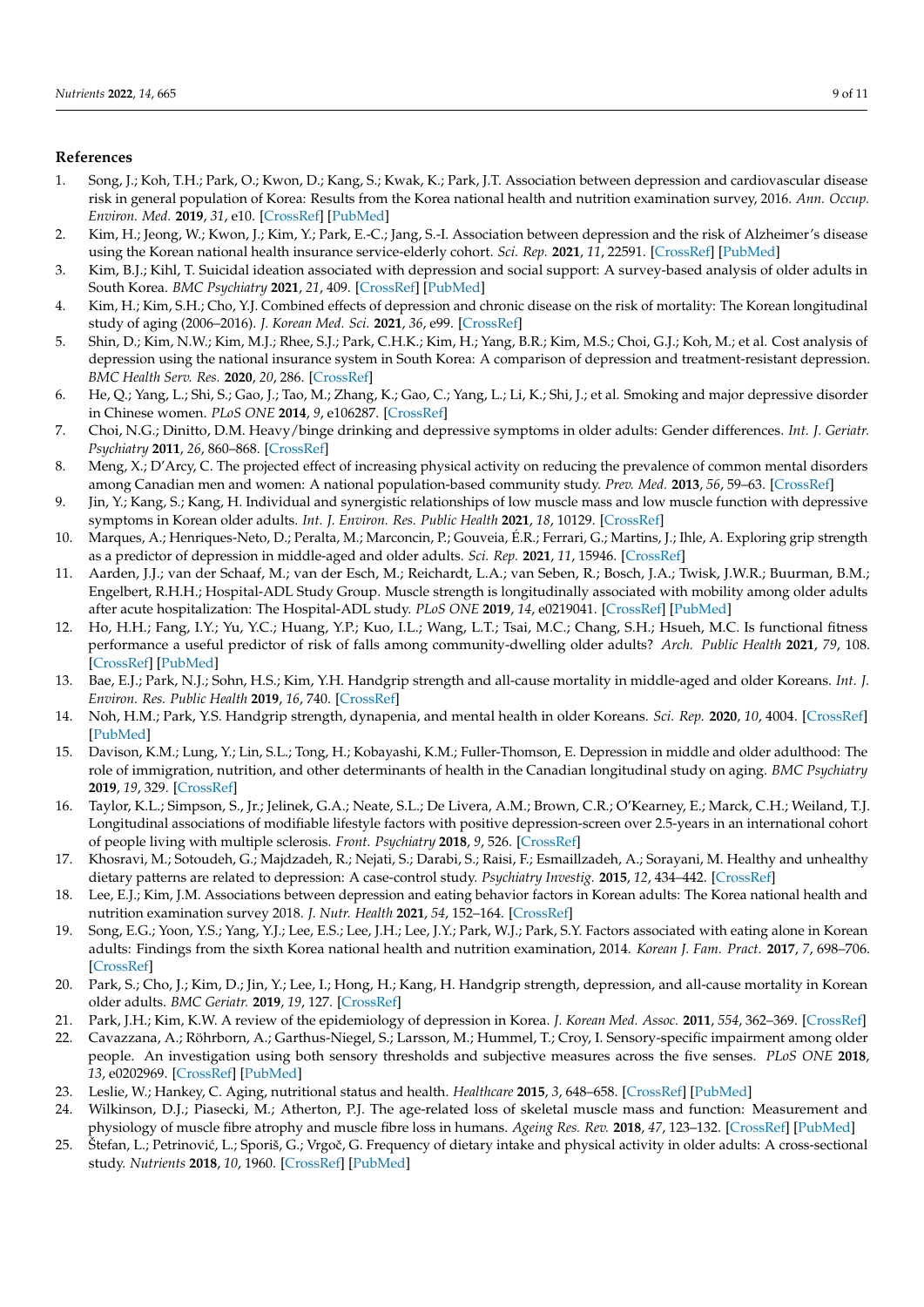## **References**

- <span id="page-8-0"></span>1. Song, J.; Koh, T.H.; Park, O.; Kwon, D.; Kang, S.; Kwak, K.; Park, J.T. Association between depression and cardiovascular disease risk in general population of Korea: Results from the Korea national health and nutrition examination survey, 2016. *Ann. Occup. Environ. Med.* **2019**, *31*, e10. [\[CrossRef\]](http://doi.org/10.35371/aoem.2019.31.e10) [\[PubMed\]](http://www.ncbi.nlm.nih.gov/pubmed/31543971)
- <span id="page-8-1"></span>2. Kim, H.; Jeong, W.; Kwon, J.; Kim, Y.; Park, E.-C.; Jang, S.-I. Association between depression and the risk of Alzheimer's disease using the Korean national health insurance service-elderly cohort. *Sci. Rep.* **2021**, *11*, 22591. [\[CrossRef\]](http://doi.org/10.1038/s41598-021-02201-6) [\[PubMed\]](http://www.ncbi.nlm.nih.gov/pubmed/34799679)
- <span id="page-8-2"></span>3. Kim, B.J.; Kihl, T. Suicidal ideation associated with depression and social support: A survey-based analysis of older adults in South Korea. *BMC Psychiatry* **2021**, *21*, 409. [\[CrossRef\]](http://doi.org/10.1186/s12888-021-03423-8) [\[PubMed\]](http://www.ncbi.nlm.nih.gov/pubmed/34407801)
- <span id="page-8-3"></span>4. Kim, H.; Kim, S.H.; Cho, Y.J. Combined effects of depression and chronic disease on the risk of mortality: The Korean longitudinal study of aging (2006–2016). *J. Korean Med. Sci.* **2021**, *36*, e99. [\[CrossRef\]](http://doi.org/10.3346/jkms.2021.36.e99)
- <span id="page-8-4"></span>5. Shin, D.; Kim, N.W.; Kim, M.J.; Rhee, S.J.; Park, C.H.K.; Kim, H.; Yang, B.R.; Kim, M.S.; Choi, G.J.; Koh, M.; et al. Cost analysis of depression using the national insurance system in South Korea: A comparison of depression and treatment-resistant depression. *BMC Health Serv. Res.* **2020**, *20*, 286. [\[CrossRef\]](http://doi.org/10.1186/s12913-020-05153-1)
- <span id="page-8-5"></span>6. He, Q.; Yang, L.; Shi, S.; Gao, J.; Tao, M.; Zhang, K.; Gao, C.; Yang, L.; Li, K.; Shi, J.; et al. Smoking and major depressive disorder in Chinese women. *PLoS ONE* **2014**, *9*, e106287. [\[CrossRef\]](http://doi.org/10.1371/journal.pone.0106287)
- <span id="page-8-6"></span>7. Choi, N.G.; Dinitto, D.M. Heavy/binge drinking and depressive symptoms in older adults: Gender differences. *Int. J. Geriatr. Psychiatry* **2011**, *26*, 860–868. [\[CrossRef\]](http://doi.org/10.1002/gps.2616)
- <span id="page-8-7"></span>8. Meng, X.; D'Arcy, C. The projected effect of increasing physical activity on reducing the prevalence of common mental disorders among Canadian men and women: A national population-based community study. *Prev. Med.* **2013**, *56*, 59–63. [\[CrossRef\]](http://doi.org/10.1016/j.ypmed.2012.11.014)
- <span id="page-8-8"></span>9. Jin, Y.; Kang, S.; Kang, H. Individual and synergistic relationships of low muscle mass and low muscle function with depressive symptoms in Korean older adults. *Int. J. Environ. Res. Public Health* **2021**, *18*, 10129. [\[CrossRef\]](http://doi.org/10.3390/ijerph181910129)
- <span id="page-8-9"></span>10. Marques, A.; Henriques-Neto, D.; Peralta, M.; Marconcin, P.; Gouveia, É.R.; Ferrari, G.; Martins, J.; Ihle, A. Exploring grip strength as a predictor of depression in middle-aged and older adults. *Sci. Rep.* **2021**, *11*, 15946. [\[CrossRef\]](http://doi.org/10.1038/s41598-021-95566-7)
- <span id="page-8-10"></span>11. Aarden, J.J.; van der Schaaf, M.; van der Esch, M.; Reichardt, L.A.; van Seben, R.; Bosch, J.A.; Twisk, J.W.R.; Buurman, B.M.; Engelbert, R.H.H.; Hospital-ADL Study Group. Muscle strength is longitudinally associated with mobility among older adults after acute hospitalization: The Hospital-ADL study. *PLoS ONE* **2019**, *14*, e0219041. [\[CrossRef\]](http://doi.org/10.1371/journal.pone.0219041) [\[PubMed\]](http://www.ncbi.nlm.nih.gov/pubmed/31276471)
- <span id="page-8-11"></span>12. Ho, H.H.; Fang, I.Y.; Yu, Y.C.; Huang, Y.P.; Kuo, I.L.; Wang, L.T.; Tsai, M.C.; Chang, S.H.; Hsueh, M.C. Is functional fitness performance a useful predictor of risk of falls among community-dwelling older adults? *Arch. Public Health* **2021**, *79*, 108. [\[CrossRef\]](http://doi.org/10.1186/s13690-021-00608-1) [\[PubMed\]](http://www.ncbi.nlm.nih.gov/pubmed/34144712)
- <span id="page-8-12"></span>13. Bae, E.J.; Park, N.J.; Sohn, H.S.; Kim, Y.H. Handgrip strength and all-cause mortality in middle-aged and older Koreans. *Int. J. Environ. Res. Public Health* **2019**, *16*, 740. [\[CrossRef\]](http://doi.org/10.3390/ijerph16050740)
- <span id="page-8-13"></span>14. Noh, H.M.; Park, Y.S. Handgrip strength, dynapenia, and mental health in older Koreans. *Sci. Rep.* **2020**, *10*, 4004. [\[CrossRef\]](http://doi.org/10.1038/s41598-020-60835-4) [\[PubMed\]](http://www.ncbi.nlm.nih.gov/pubmed/32132581)
- <span id="page-8-14"></span>15. Davison, K.M.; Lung, Y.; Lin, S.L.; Tong, H.; Kobayashi, K.M.; Fuller-Thomson, E. Depression in middle and older adulthood: The role of immigration, nutrition, and other determinants of health in the Canadian longitudinal study on aging. *BMC Psychiatry* **2019**, *19*, 329. [\[CrossRef\]](http://doi.org/10.1186/s12888-019-2309-y)
- <span id="page-8-15"></span>16. Taylor, K.L.; Simpson, S., Jr.; Jelinek, G.A.; Neate, S.L.; De Livera, A.M.; Brown, C.R.; O'Kearney, E.; Marck, C.H.; Weiland, T.J. Longitudinal associations of modifiable lifestyle factors with positive depression-screen over 2.5-years in an international cohort of people living with multiple sclerosis. *Front. Psychiatry* **2018**, *9*, 526. [\[CrossRef\]](http://doi.org/10.3389/fpsyt.2018.00526)
- <span id="page-8-16"></span>17. Khosravi, M.; Sotoudeh, G.; Majdzadeh, R.; Nejati, S.; Darabi, S.; Raisi, F.; Esmaillzadeh, A.; Sorayani, M. Healthy and unhealthy dietary patterns are related to depression: A case-control study. *Psychiatry Investig.* **2015**, *12*, 434–442. [\[CrossRef\]](http://doi.org/10.4306/pi.2015.12.4.434)
- <span id="page-8-17"></span>18. Lee, E.J.; Kim, J.M. Associations between depression and eating behavior factors in Korean adults: The Korea national health and nutrition examination survey 2018. *J. Nutr. Health* **2021**, *54*, 152–164. [\[CrossRef\]](http://doi.org/10.4163/jnh.2021.54.2.152)
- <span id="page-8-24"></span>19. Song, E.G.; Yoon, Y.S.; Yang, Y.J.; Lee, E.S.; Lee, J.H.; Lee, J.Y.; Park, W.J.; Park, S.Y. Factors associated with eating alone in Korean adults: Findings from the sixth Korea national health and nutrition examination, 2014. *Korean J. Fam. Pract.* **2017**, *7*, 698–706. [\[CrossRef\]](http://doi.org/10.21215/kjfp.2017.7.5.698)
- <span id="page-8-18"></span>20. Park, S.; Cho, J.; Kim, D.; Jin, Y.; Lee, I.; Hong, H.; Kang, H. Handgrip strength, depression, and all-cause mortality in Korean older adults. *BMC Geriatr.* **2019**, *19*, 127. [\[CrossRef\]](http://doi.org/10.1186/s12877-019-1140-0)
- <span id="page-8-19"></span>21. Park, J.H.; Kim, K.W. A review of the epidemiology of depression in Korea. *J. Korean Med. Assoc.* **2011**, *554*, 362–369. [\[CrossRef\]](http://doi.org/10.5124/jkma.2011.54.4.362)
- <span id="page-8-20"></span>22. Cavazzana, A.; Röhrborn, A.; Garthus-Niegel, S.; Larsson, M.; Hummel, T.; Croy, I. Sensory-specific impairment among older people. An investigation using both sensory thresholds and subjective measures across the five senses. *PLoS ONE* **2018**, *13*, e0202969. [\[CrossRef\]](http://doi.org/10.1371/journal.pone.0202969) [\[PubMed\]](http://www.ncbi.nlm.nih.gov/pubmed/30148857)
- <span id="page-8-21"></span>23. Leslie, W.; Hankey, C. Aging, nutritional status and health. *Healthcare* **2015**, *3*, 648–658. [\[CrossRef\]](http://doi.org/10.3390/healthcare3030648) [\[PubMed\]](http://www.ncbi.nlm.nih.gov/pubmed/27417787)
- <span id="page-8-22"></span>24. Wilkinson, D.J.; Piasecki, M.; Atherton, P.J. The age-related loss of skeletal muscle mass and function: Measurement and physiology of muscle fibre atrophy and muscle fibre loss in humans. *Ageing Res. Rev.* **2018**, *47*, 123–132. [\[CrossRef\]](http://doi.org/10.1016/j.arr.2018.07.005) [\[PubMed\]](http://www.ncbi.nlm.nih.gov/pubmed/30048806)
- <span id="page-8-23"></span>25. Štefan, L.; Petrinović, L.; Sporiš, G.; Vrgoč, G. Frequency of dietary intake and physical activity in older adults: A cross-sectional study. *Nutrients* **2018**, *10*, 1960. [\[CrossRef\]](http://doi.org/10.3390/nu10121960) [\[PubMed\]](http://www.ncbi.nlm.nih.gov/pubmed/30544976)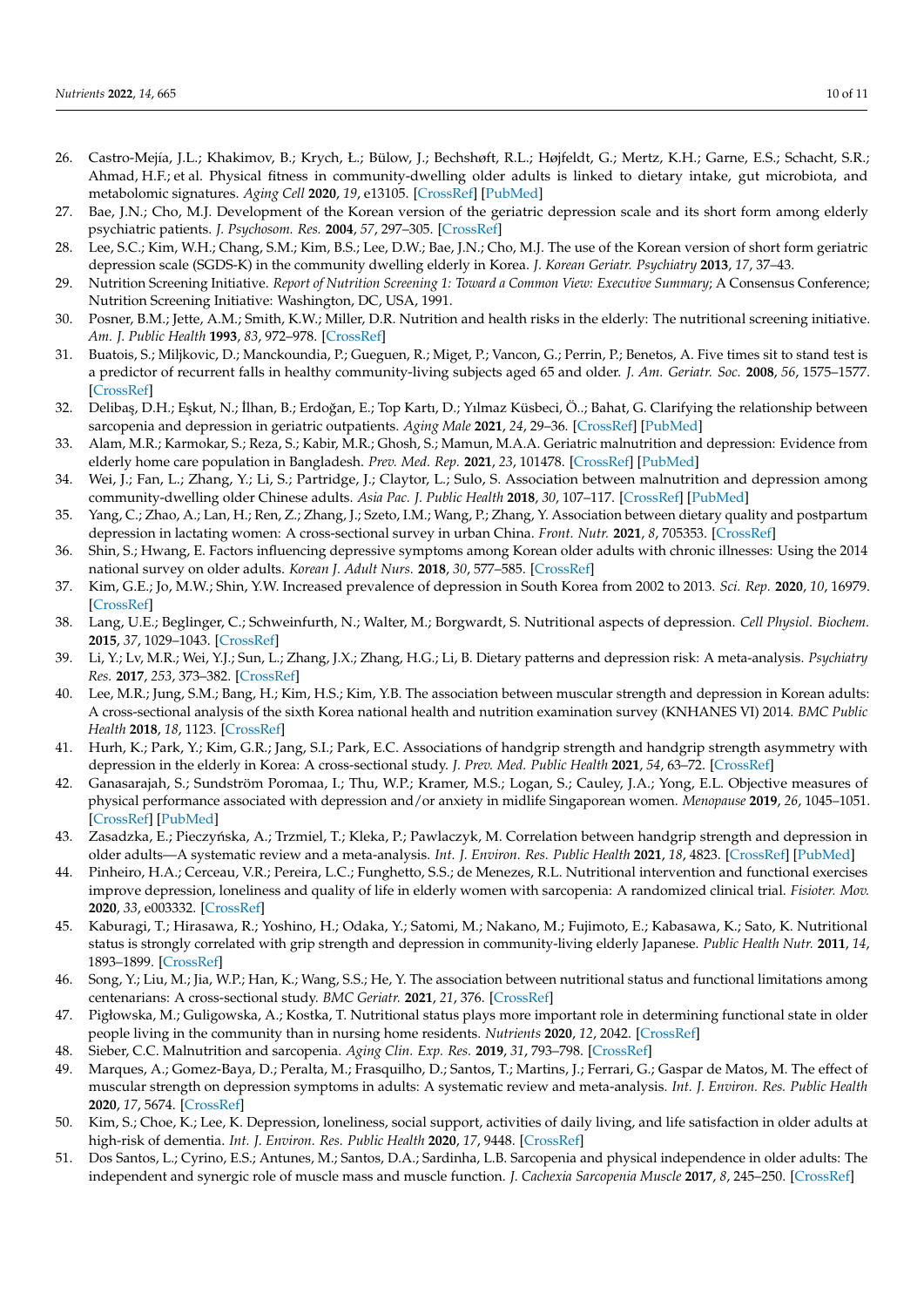- <span id="page-9-0"></span>26. Castro-Mejía, J.L.; Khakimov, B.; Krych, Ł.; Bülow, J.; Bechshøft, R.L.; Højfeldt, G.; Mertz, K.H.; Garne, E.S.; Schacht, S.R.; Ahmad, H.F.; et al. Physical fitness in community-dwelling older adults is linked to dietary intake, gut microbiota, and metabolomic signatures. *Aging Cell* **2020**, *19*, e13105. [\[CrossRef\]](http://doi.org/10.1111/acel.13105) [\[PubMed\]](http://www.ncbi.nlm.nih.gov/pubmed/31967716)
- <span id="page-9-1"></span>27. Bae, J.N.; Cho, M.J. Development of the Korean version of the geriatric depression scale and its short form among elderly psychiatric patients. *J. Psychosom. Res.* **2004**, *57*, 297–305. [\[CrossRef\]](http://doi.org/10.1016/j.jpsychores.2004.01.004)
- <span id="page-9-2"></span>28. Lee, S.C.; Kim, W.H.; Chang, S.M.; Kim, B.S.; Lee, D.W.; Bae, J.N.; Cho, M.J. The use of the Korean version of short form geriatric depression scale (SGDS-K) in the community dwelling elderly in Korea. *J. Korean Geriatr. Psychiatry* **2013**, *17*, 37–43.
- <span id="page-9-3"></span>29. Nutrition Screening Initiative. *Report of Nutrition Screening 1: Toward a Common View: Executive Summary*; A Consensus Conference; Nutrition Screening Initiative: Washington, DC, USA, 1991.
- <span id="page-9-4"></span>30. Posner, B.M.; Jette, A.M.; Smith, K.W.; Miller, D.R. Nutrition and health risks in the elderly: The nutritional screening initiative. *Am. J. Public Health* **1993**, *83*, 972–978. [\[CrossRef\]](http://doi.org/10.2105/AJPH.83.7.972)
- <span id="page-9-5"></span>31. Buatois, S.; Miljkovic, D.; Manckoundia, P.; Gueguen, R.; Miget, P.; Vancon, G.; Perrin, P.; Benetos, A. Five times sit to stand test is a predictor of recurrent falls in healthy community-living subjects aged 65 and older. *J. Am. Geriatr. Soc.* **2008**, *56*, 1575–1577. [\[CrossRef\]](http://doi.org/10.1111/j.1532-5415.2008.01777.x)
- <span id="page-9-6"></span>32. Delibaş, D.H.; Eşkut, N.; İlhan, B.; Erdoğan, E.; Top Kartı, D.; Yılmaz Küsbeci, Ö..; Bahat, G. Clarifying the relationship between sarcopenia and depression in geriatric outpatients. *Aging Male* **2021**, *24*, 29–36. [\[CrossRef\]](http://doi.org/10.1080/13685538.2021.1936482) [\[PubMed\]](http://www.ncbi.nlm.nih.gov/pubmed/34151708)
- <span id="page-9-7"></span>33. Alam, M.R.; Karmokar, S.; Reza, S.; Kabir, M.R.; Ghosh, S.; Mamun, M.A.A. Geriatric malnutrition and depression: Evidence from elderly home care population in Bangladesh. *Prev. Med. Rep.* **2021**, *23*, 101478. [\[CrossRef\]](http://doi.org/10.1016/j.pmedr.2021.101478) [\[PubMed\]](http://www.ncbi.nlm.nih.gov/pubmed/34458076)
- <span id="page-9-8"></span>34. Wei, J.; Fan, L.; Zhang, Y.; Li, S.; Partridge, J.; Claytor, L.; Sulo, S. Association between malnutrition and depression among community-dwelling older Chinese adults. *Asia Pac. J. Public Health* **2018**, *30*, 107–117. [\[CrossRef\]](http://doi.org/10.1177/1010539518760632) [\[PubMed\]](http://www.ncbi.nlm.nih.gov/pubmed/29514465)
- <span id="page-9-9"></span>35. Yang, C.; Zhao, A.; Lan, H.; Ren, Z.; Zhang, J.; Szeto, I.M.; Wang, P.; Zhang, Y. Association between dietary quality and postpartum depression in lactating women: A cross-sectional survey in urban China. *Front. Nutr.* **2021**, *8*, 705353. [\[CrossRef\]](http://doi.org/10.3389/fnut.2021.705353)
- <span id="page-9-10"></span>36. Shin, S.; Hwang, E. Factors influencing depressive symptoms among Korean older adults with chronic illnesses: Using the 2014 national survey on older adults. *Korean J. Adult Nurs.* **2018**, *30*, 577–585. [\[CrossRef\]](http://doi.org/10.7475/kjan.2018.30.6.577)
- <span id="page-9-11"></span>37. Kim, G.E.; Jo, M.W.; Shin, Y.W. Increased prevalence of depression in South Korea from 2002 to 2013. *Sci. Rep.* **2020**, *10*, 16979. [\[CrossRef\]](http://doi.org/10.1038/s41598-020-74119-4)
- <span id="page-9-12"></span>38. Lang, U.E.; Beglinger, C.; Schweinfurth, N.; Walter, M.; Borgwardt, S. Nutritional aspects of depression. *Cell Physiol. Biochem.* **2015**, *37*, 1029–1043. [\[CrossRef\]](http://doi.org/10.1159/000430229)
- <span id="page-9-13"></span>39. Li, Y.; Lv, M.R.; Wei, Y.J.; Sun, L.; Zhang, J.X.; Zhang, H.G.; Li, B. Dietary patterns and depression risk: A meta-analysis. *Psychiatry Res.* **2017**, *253*, 373–382. [\[CrossRef\]](http://doi.org/10.1016/j.psychres.2017.04.020)
- <span id="page-9-14"></span>40. Lee, M.R.; Jung, S.M.; Bang, H.; Kim, H.S.; Kim, Y.B. The association between muscular strength and depression in Korean adults: A cross-sectional analysis of the sixth Korea national health and nutrition examination survey (KNHANES VI) 2014. *BMC Public Health* **2018**, *18*, 1123. [\[CrossRef\]](http://doi.org/10.1186/s12889-018-6030-4)
- <span id="page-9-15"></span>41. Hurh, K.; Park, Y.; Kim, G.R.; Jang, S.I.; Park, E.C. Associations of handgrip strength and handgrip strength asymmetry with depression in the elderly in Korea: A cross-sectional study. *J. Prev. Med. Public Health* **2021**, *54*, 63–72. [\[CrossRef\]](http://doi.org/10.3961/jpmph.20.315)
- <span id="page-9-16"></span>42. Ganasarajah, S.; Sundström Poromaa, I.; Thu, W.P.; Kramer, M.S.; Logan, S.; Cauley, J.A.; Yong, E.L. Objective measures of physical performance associated with depression and/or anxiety in midlife Singaporean women. *Menopause* **2019**, *26*, 1045–1051. [\[CrossRef\]](http://doi.org/10.1097/GME.0000000000001355) [\[PubMed\]](http://www.ncbi.nlm.nih.gov/pubmed/31453968)
- <span id="page-9-17"></span>43. Zasadzka, E.; Pieczyńska, A.; Trzmiel, T.; Kleka, P.; Pawlaczyk, M. Correlation between handgrip strength and depression in older adults—A systematic review and a meta-analysis. *Int. J. Environ. Res. Public Health* **2021**, *18*, 4823. [\[CrossRef\]](http://doi.org/10.3390/ijerph18094823) [\[PubMed\]](http://www.ncbi.nlm.nih.gov/pubmed/33946502)
- <span id="page-9-18"></span>44. Pinheiro, H.A.; Cerceau, V.R.; Pereira, L.C.; Funghetto, S.S.; de Menezes, R.L. Nutritional intervention and functional exercises improve depression, loneliness and quality of life in elderly women with sarcopenia: A randomized clinical trial. *Fisioter. Mov.* **2020**, *33*, e003332. [\[CrossRef\]](http://doi.org/10.1590/1980-5918.033.ao32)
- <span id="page-9-19"></span>45. Kaburagi, T.; Hirasawa, R.; Yoshino, H.; Odaka, Y.; Satomi, M.; Nakano, M.; Fujimoto, E.; Kabasawa, K.; Sato, K. Nutritional status is strongly correlated with grip strength and depression in community-living elderly Japanese. *Public Health Nutr.* **2011**, *14*, 1893–1899. [\[CrossRef\]](http://doi.org/10.1017/S1368980011000346)
- <span id="page-9-20"></span>46. Song, Y.; Liu, M.; Jia, W.P.; Han, K.; Wang, S.S.; He, Y. The association between nutritional status and functional limitations among centenarians: A cross-sectional study. *BMC Geriatr.* **2021**, *21*, 376. [\[CrossRef\]](http://doi.org/10.1186/s12877-021-02312-9)
- <span id="page-9-21"></span>47. Pigłowska, M.; Guligowska, A.; Kostka, T. Nutritional status plays more important role in determining functional state in older people living in the community than in nursing home residents. *Nutrients* **2020**, *12*, 2042. [\[CrossRef\]](http://doi.org/10.3390/nu12072042)
- <span id="page-9-22"></span>48. Sieber, C.C. Malnutrition and sarcopenia. *Aging Clin. Exp. Res.* **2019**, *31*, 793–798. [\[CrossRef\]](http://doi.org/10.1007/s40520-019-01170-1)
- <span id="page-9-23"></span>49. Marques, A.; Gomez-Baya, D.; Peralta, M.; Frasquilho, D.; Santos, T.; Martins, J.; Ferrari, G.; Gaspar de Matos, M. The effect of muscular strength on depression symptoms in adults: A systematic review and meta-analysis. *Int. J. Environ. Res. Public Health* **2020**, *17*, 5674. [\[CrossRef\]](http://doi.org/10.3390/ijerph17165674)
- <span id="page-9-24"></span>50. Kim, S.; Choe, K.; Lee, K. Depression, loneliness, social support, activities of daily living, and life satisfaction in older adults at high-risk of dementia. *Int. J. Environ. Res. Public Health* **2020**, *17*, 9448. [\[CrossRef\]](http://doi.org/10.3390/ijerph17249448)
- <span id="page-9-25"></span>51. Dos Santos, L.; Cyrino, E.S.; Antunes, M.; Santos, D.A.; Sardinha, L.B. Sarcopenia and physical independence in older adults: The independent and synergic role of muscle mass and muscle function. *J. Cachexia Sarcopenia Muscle* **2017**, *8*, 245–250. [\[CrossRef\]](http://doi.org/10.1002/jcsm.12160)